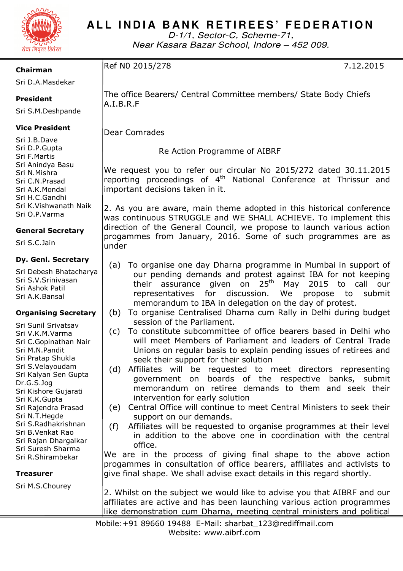

## ALL INDIA BANK RETIREES' FEDERATION

D-1/1, Sector-C, Scheme-71, Near Kasara Bazar School, Indore – 452 009.

### **Chairman**

Ref N0 2015/278 7.12.2015

Sri D.A.Masdekar

### **President**

Sri S.M.Deshpande

## **Vice President**

Sri J.B.Dave Sri D.P.Gupta Sri F.Martis Sri Anindya Basu Sri N.Mishra Sri C.N.Prasad Sri A.K.Mondal Sri H.C.Gandhi Sri K.Vishwanath Naik Sri O.P.Varma

### **General Secretary**

Sri S.C.Jain

### **Dy. Genl. Secretary**

Sri Debesh Bhatacharya Sri S.V.Srinivasan Sri Ashok Patil Sri A.K.Bansal

#### **Organising Secretary**

|                  | Sri Sunil Srivatsav   |
|------------------|-----------------------|
|                  | Sri V.K.M.Varma       |
|                  | Sri C.Gopinathan Nair |
|                  | Sri M.N.Pandit        |
|                  | Sri Pratap Shukla     |
|                  | Sri S.Velayoudam      |
|                  | Sri Kalyan Sen Gupta  |
|                  | Dr.G.S.Jog            |
|                  | Sri Kishore Gujarati  |
|                  | Sri K.K.Gupta         |
|                  | Sri Rajendra Prasad   |
|                  | Sri N.T.Hegde         |
|                  | Sri S.Radhakrishnan   |
|                  | Sri B.Venkat Rao      |
|                  | Sri Rajan Dhargalkar  |
|                  | Sri Suresh Sharma     |
|                  | Sri R.Shirambekar     |
|                  |                       |
| <b>Treasurer</b> |                       |
|                  | Sri M.S.Chourey       |
|                  |                       |
|                  |                       |

The office Bearers/ Central Committee members/ State Body Chiefs A.I.B.R.F

Dear Comrades

Re Action Programme of AIBRF

We request you to refer our circular No 2015/272 dated 30.11.2015 reporting proceedings of 4th National Conference at Thrissur and important decisions taken in it.

2. As you are aware, main theme adopted in this historical conference was continuous STRUGGLE and WE SHALL ACHIEVE. To implement this direction of the General Council, we propose to launch various action progammes from January, 2016. Some of such programmes are as under

- (a) To organise one day Dharna programme in Mumbai in support of our pending demands and protest against IBA for not keeping their assurance given on 25<sup>th</sup> May 2015 to call our representatives for discussion. We propose to submit memorandum to IBA in delegation on the day of protest.
- (b) To organise Centralised Dharna cum Rally in Delhi during budget session of the Parliament.
- (c) To constitute subcommittee of office bearers based in Delhi who will meet Members of Parliament and leaders of Central Trade Unions on regular basis to explain pending issues of retirees and seek their support for their solution
- (d) Affiliates will be requested to meet directors representing government on boards of the respective banks, submit memorandum on retiree demands to them and seek their intervention for early solution
- (e) Central Office will continue to meet Central Ministers to seek their support on our demands.
- (f) Affiliates will be requested to organise programmes at their level in addition to the above one in coordination with the central office.

We are in the process of giving final shape to the above action progammes in consultation of office bearers, affiliates and activists to give final shape. We shall advise exact details in this regard shortly.

2. Whilst on the subject we would like to advise you that AIBRF and our affiliates are active and has been launching various action programmes like demonstration cum Dharna, meeting central ministers and political